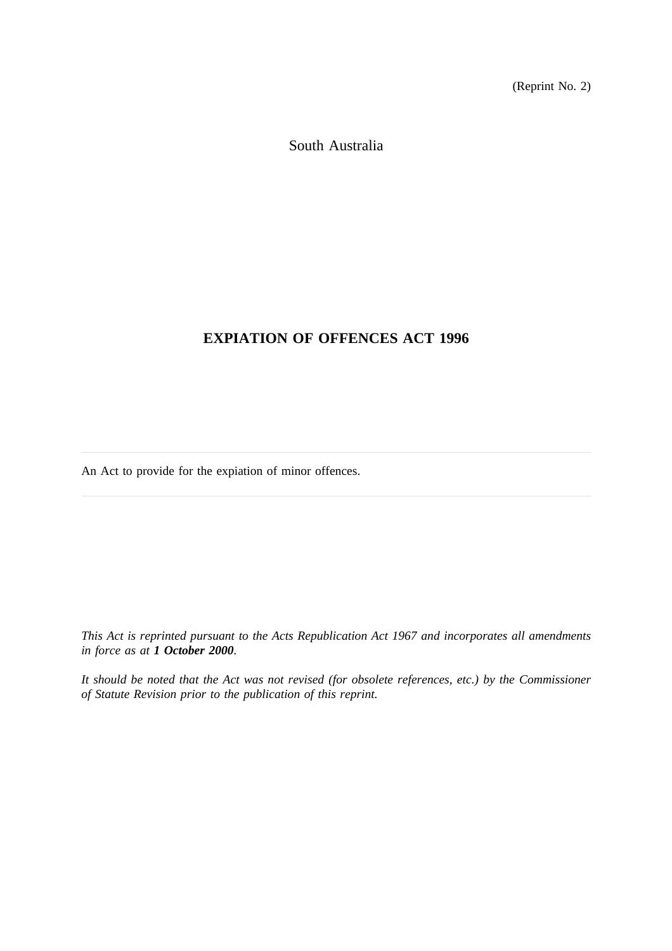(Reprint No. 2)

South Australia

# **EXPIATION OF OFFENCES ACT 1996**

An Act to provide for the expiation of minor offences.

*This Act is reprinted pursuant to the Acts Republication Act 1967 and incorporates all amendments in force as at 1 October 2000.*

*It should be noted that the Act was not revised (for obsolete references, etc.) by the Commissioner of Statute Revision prior to the publication of this reprint.*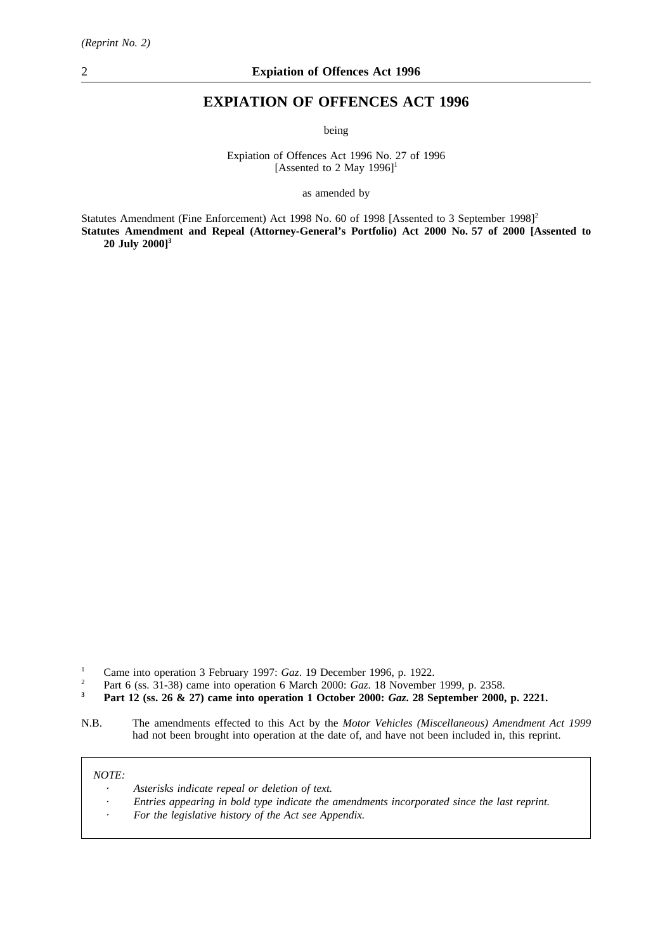# **EXPIATION OF OFFENCES ACT 1996**

being

Expiation of Offences Act 1996 No. 27 of 1996 [Assented to 2 May 1996]<sup>1</sup>

as amended by

Statutes Amendment (Fine Enforcement) Act 1998 No. 60 of 1998 [Assented to 3 September 1998]<sup>2</sup> **Statutes Amendment and Repeal (Attorney-General's Portfolio) Act 2000 No. 57 of 2000 [Assented to 20 July 2000]3**

- <sup>2</sup> Part 6 (ss. 31-38) came into operation 6 March 2000: *Gaz*. 18 November 1999, p. 2358.<br>**Port 12** (ss. 26 & 27) came into operation 1 October 2000: *Gaz*. 28 September 2000.
- **<sup>3</sup> Part 12 (ss. 26 & 27) came into operation 1 October 2000:** *Gaz***. 28 September 2000, p. 2221.**
- N.B. The amendments effected to this Act by the *Motor Vehicles (Miscellaneous) Amendment Act 1999* had not been brought into operation at the date of, and have not been included in, this reprint.

#### *NOTE:*

- *Asterisks indicate repeal or deletion of text.*
- *Entries appearing in bold type indicate the amendments incorporated since the last reprint.*
- *For the legislative history of the Act see Appendix.*

<sup>&</sup>lt;sup>1</sup> Came into operation 3 February 1997: *Gaz*. 19 December 1996, p. 1922.<br><sup>2</sup> Part 6 (es. <sup>21, 28)</sub> came into operation 6 March 2000: *Gaz*. 18 November</sup>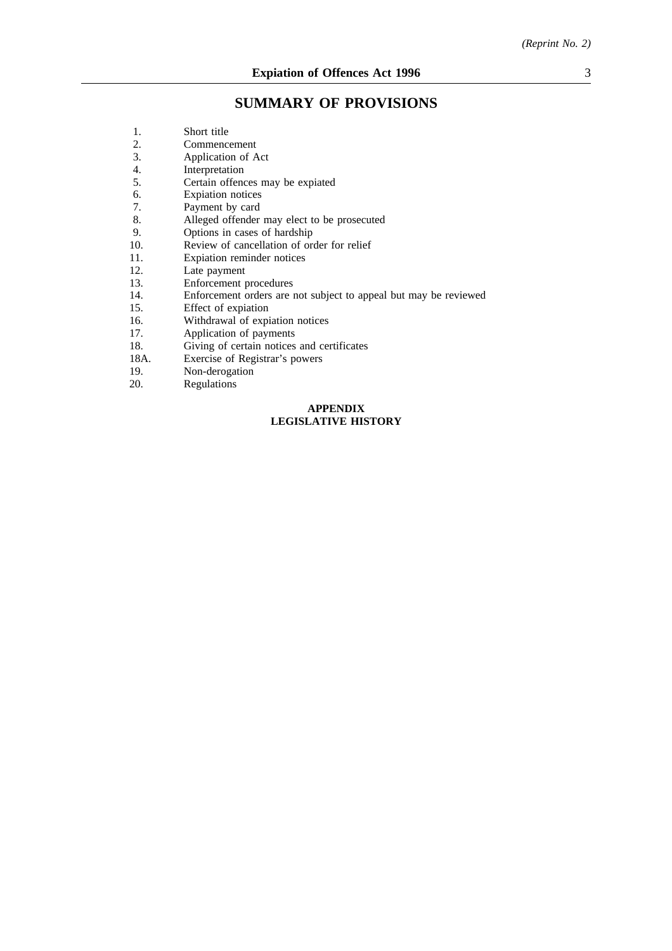# **SUMMARY OF PROVISIONS**

| 1.   | Short title                                                      |
|------|------------------------------------------------------------------|
| 2.   | Commencement                                                     |
| 3.   | Application of Act                                               |
| 4.   | Interpretation                                                   |
| 5.   | Certain offences may be expiated                                 |
| 6.   | <b>Expiation</b> notices                                         |
| 7.   | Payment by card                                                  |
| 8.   | Alleged offender may elect to be prosecuted                      |
| 9.   | Options in cases of hardship                                     |
| 10.  | Review of cancellation of order for relief                       |
| 11.  | Expiation reminder notices                                       |
| 12.  | Late payment                                                     |
| 13.  | Enforcement procedures                                           |
| 14.  | Enforcement orders are not subject to appeal but may be reviewed |
| 15.  | Effect of expiation                                              |
| 16.  | Withdrawal of expiation notices                                  |
| 17.  | Application of payments                                          |
| 18.  | Giving of certain notices and certificates                       |
| 18A. | Exercise of Registrar's powers                                   |
| 19.  | Non-derogation                                                   |
| 20.  | Regulations                                                      |
|      |                                                                  |

## **APPENDIX LEGISLATIVE HISTORY**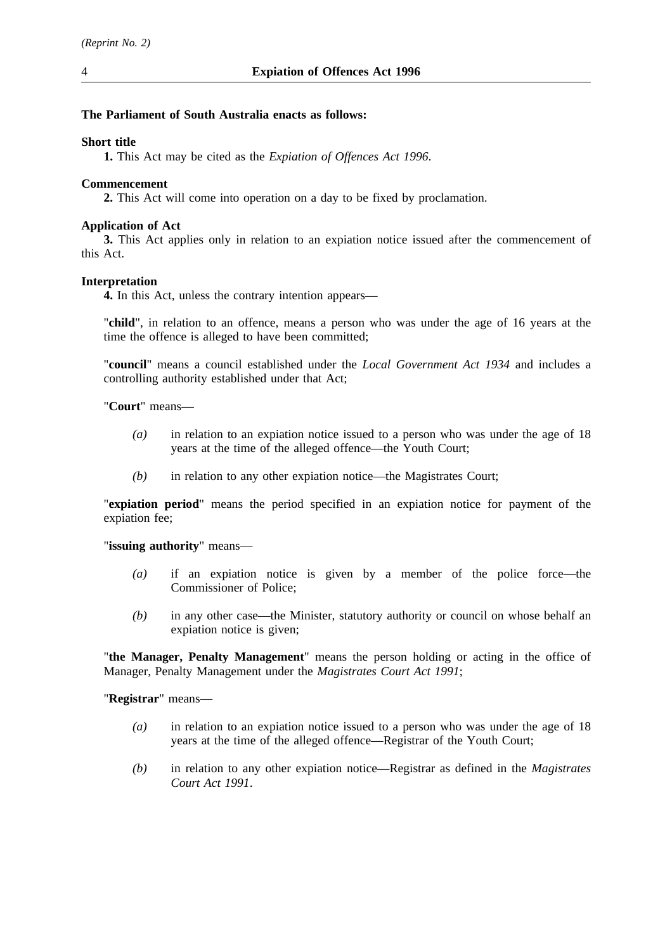## **The Parliament of South Australia enacts as follows:**

## **Short title**

**1.** This Act may be cited as the *Expiation of Offences Act 1996*.

## **Commencement**

**2.** This Act will come into operation on a day to be fixed by proclamation.

## **Application of Act**

**3.** This Act applies only in relation to an expiation notice issued after the commencement of this Act.

## **Interpretation**

**4.** In this Act, unless the contrary intention appears—

"**child**", in relation to an offence, means a person who was under the age of 16 years at the time the offence is alleged to have been committed;

"**council**" means a council established under the *Local Government Act 1934* and includes a controlling authority established under that Act;

"**Court**" means—

- *(a)* in relation to an expiation notice issued to a person who was under the age of 18 years at the time of the alleged offence—the Youth Court;
- *(b)* in relation to any other expiation notice—the Magistrates Court;

"**expiation period**" means the period specified in an expiation notice for payment of the expiation fee;

## "**issuing authority**" means—

- *(a)* if an expiation notice is given by a member of the police force—the Commissioner of Police;
- *(b)* in any other case—the Minister, statutory authority or council on whose behalf an expiation notice is given;

"**the Manager, Penalty Management**" means the person holding or acting in the office of Manager, Penalty Management under the *Magistrates Court Act 1991*;

"**Registrar**" means—

- *(a)* in relation to an expiation notice issued to a person who was under the age of 18 years at the time of the alleged offence—Registrar of the Youth Court;
- *(b)* in relation to any other expiation notice—Registrar as defined in the *Magistrates Court Act 1991*.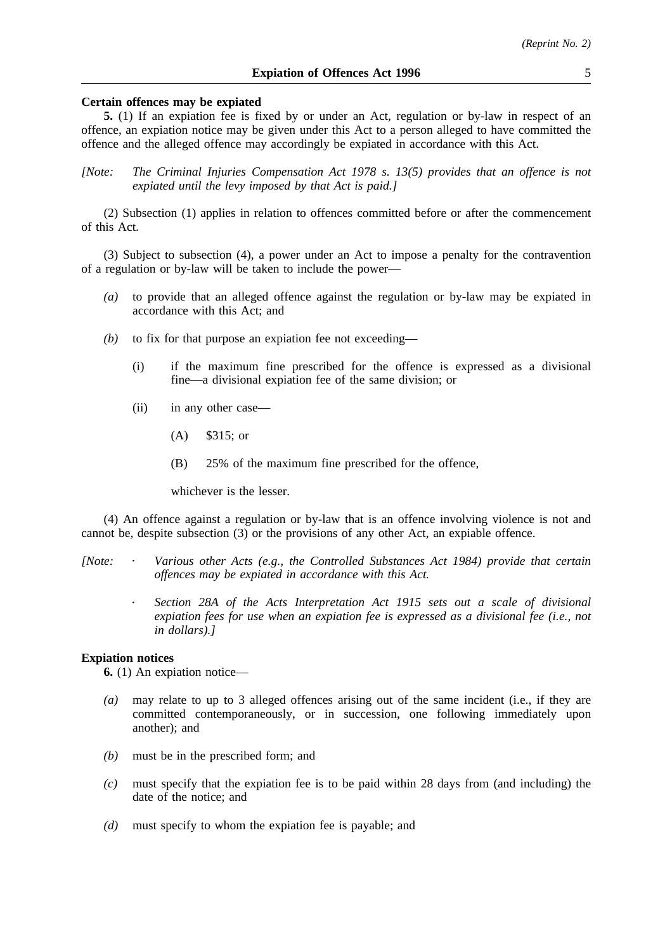#### **Certain offences may be expiated**

**5.** (1) If an expiation fee is fixed by or under an Act, regulation or by-law in respect of an offence, an expiation notice may be given under this Act to a person alleged to have committed the offence and the alleged offence may accordingly be expiated in accordance with this Act.

*[Note: The Criminal Injuries Compensation Act 1978 s. 13(5) provides that an offence is not expiated until the levy imposed by that Act is paid.]*

(2) Subsection (1) applies in relation to offences committed before or after the commencement of this Act.

(3) Subject to subsection (4), a power under an Act to impose a penalty for the contravention of a regulation or by-law will be taken to include the power—

- *(a)* to provide that an alleged offence against the regulation or by-law may be expiated in accordance with this Act; and
- *(b)* to fix for that purpose an expiation fee not exceeding—
	- (i) if the maximum fine prescribed for the offence is expressed as a divisional fine—a divisional expiation fee of the same division; or
	- (ii) in any other case—
		- (A) \$315; or
		- (B) 25% of the maximum fine prescribed for the offence,

whichever is the lesser.

(4) An offence against a regulation or by-law that is an offence involving violence is not and cannot be, despite subsection (3) or the provisions of any other Act, an expiable offence.

- *[Note: Various other Acts (e.g., the Controlled Substances Act 1984) provide that certain offences may be expiated in accordance with this Act.*
	- *Section 28A of the Acts Interpretation Act 1915 sets out a scale of divisional expiation fees for use when an expiation fee is expressed as a divisional fee (i.e., not in dollars).]*

#### **Expiation notices**

**6.** (1) An expiation notice—

- *(a)* may relate to up to 3 alleged offences arising out of the same incident (i.e., if they are committed contemporaneously, or in succession, one following immediately upon another); and
- *(b)* must be in the prescribed form; and
- *(c)* must specify that the expiation fee is to be paid within 28 days from (and including) the date of the notice; and
- *(d)* must specify to whom the expiation fee is payable; and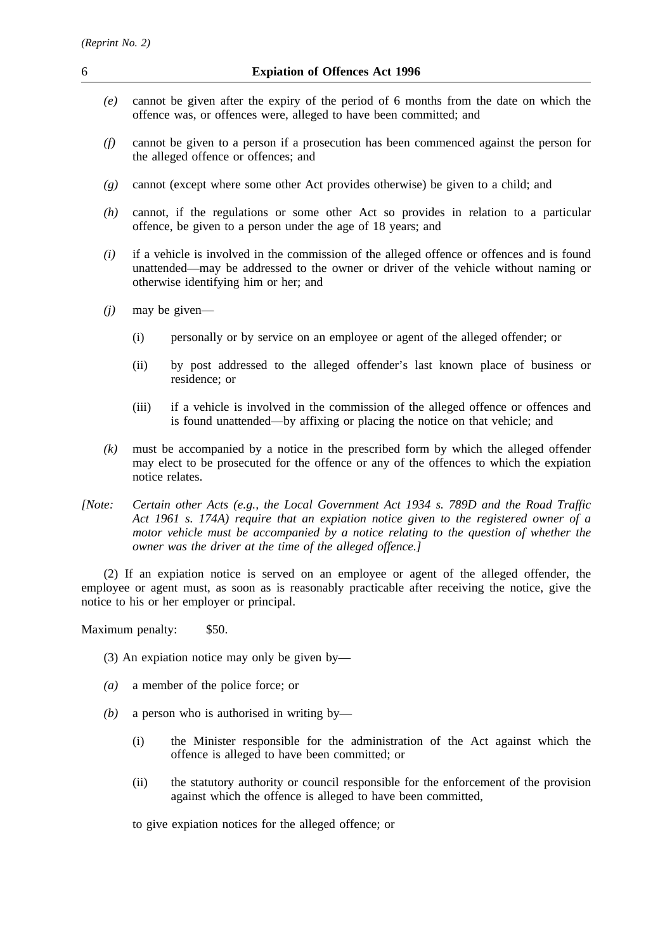- *(e)* cannot be given after the expiry of the period of 6 months from the date on which the offence was, or offences were, alleged to have been committed; and
- *(f)* cannot be given to a person if a prosecution has been commenced against the person for the alleged offence or offences; and
- *(g)* cannot (except where some other Act provides otherwise) be given to a child; and
- *(h)* cannot, if the regulations or some other Act so provides in relation to a particular offence, be given to a person under the age of 18 years; and
- *(i)* if a vehicle is involved in the commission of the alleged offence or offences and is found unattended—may be addressed to the owner or driver of the vehicle without naming or otherwise identifying him or her; and
- *(j)* may be given—
	- (i) personally or by service on an employee or agent of the alleged offender; or
	- (ii) by post addressed to the alleged offender's last known place of business or residence; or
	- (iii) if a vehicle is involved in the commission of the alleged offence or offences and is found unattended—by affixing or placing the notice on that vehicle; and
- *(k)* must be accompanied by a notice in the prescribed form by which the alleged offender may elect to be prosecuted for the offence or any of the offences to which the expiation notice relates.
- *[Note: Certain other Acts (e.g., the Local Government Act 1934 s. 789D and the Road Traffic Act 1961 s. 174A) require that an expiation notice given to the registered owner of a motor vehicle must be accompanied by a notice relating to the question of whether the owner was the driver at the time of the alleged offence.]*

(2) If an expiation notice is served on an employee or agent of the alleged offender, the employee or agent must, as soon as is reasonably practicable after receiving the notice, give the notice to his or her employer or principal.

Maximum penalty: \$50.

- (3) An expiation notice may only be given by—
- *(a)* a member of the police force; or
- *(b)* a person who is authorised in writing by—
	- (i) the Minister responsible for the administration of the Act against which the offence is alleged to have been committed; or
	- (ii) the statutory authority or council responsible for the enforcement of the provision against which the offence is alleged to have been committed,

to give expiation notices for the alleged offence; or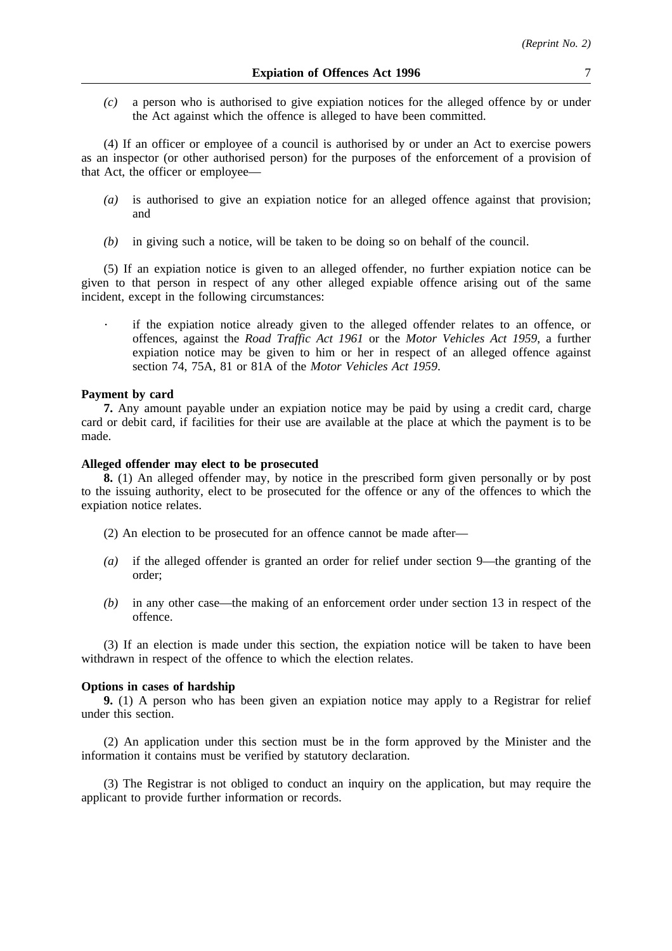*(c)* a person who is authorised to give expiation notices for the alleged offence by or under the Act against which the offence is alleged to have been committed.

(4) If an officer or employee of a council is authorised by or under an Act to exercise powers as an inspector (or other authorised person) for the purposes of the enforcement of a provision of that Act, the officer or employee—

- *(a)* is authorised to give an expiation notice for an alleged offence against that provision; and
- *(b)* in giving such a notice, will be taken to be doing so on behalf of the council.

(5) If an expiation notice is given to an alleged offender, no further expiation notice can be given to that person in respect of any other alleged expiable offence arising out of the same incident, except in the following circumstances:

if the expiation notice already given to the alleged offender relates to an offence, or offences, against the *Road Traffic Act 1961* or the *Motor Vehicles Act 1959*, a further expiation notice may be given to him or her in respect of an alleged offence against section 74, 75A, 81 or 81A of the *Motor Vehicles Act 1959*.

#### **Payment by card**

**7.** Any amount payable under an expiation notice may be paid by using a credit card, charge card or debit card, if facilities for their use are available at the place at which the payment is to be made.

## **Alleged offender may elect to be prosecuted**

**8.** (1) An alleged offender may, by notice in the prescribed form given personally or by post to the issuing authority, elect to be prosecuted for the offence or any of the offences to which the expiation notice relates.

(2) An election to be prosecuted for an offence cannot be made after—

- *(a)* if the alleged offender is granted an order for relief under section 9—the granting of the order;
- *(b)* in any other case—the making of an enforcement order under section 13 in respect of the offence.

(3) If an election is made under this section, the expiation notice will be taken to have been withdrawn in respect of the offence to which the election relates.

#### **Options in cases of hardship**

**9.** (1) A person who has been given an expiation notice may apply to a Registrar for relief under this section.

(2) An application under this section must be in the form approved by the Minister and the information it contains must be verified by statutory declaration.

(3) The Registrar is not obliged to conduct an inquiry on the application, but may require the applicant to provide further information or records.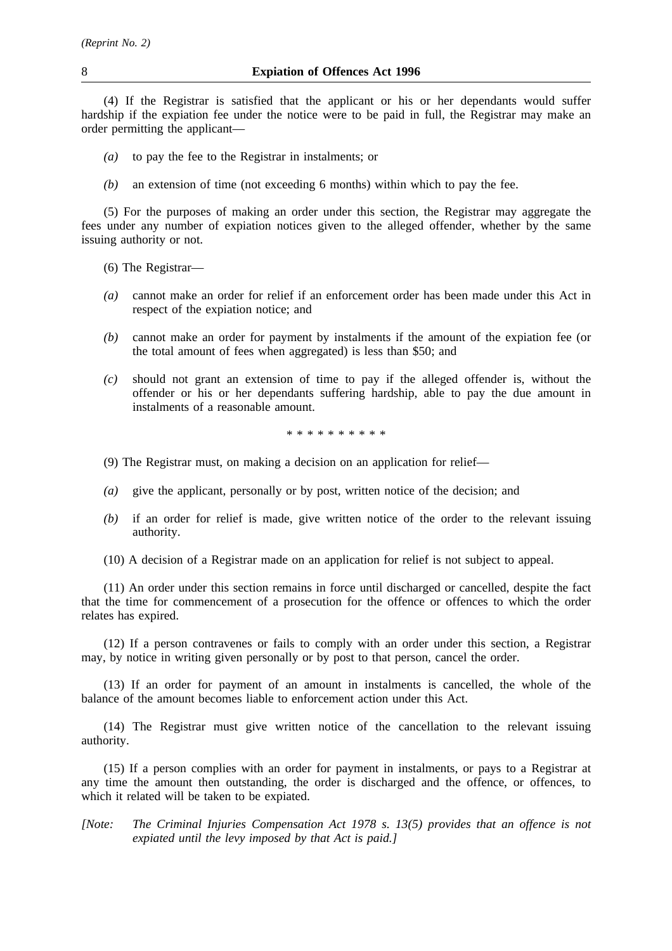(4) If the Registrar is satisfied that the applicant or his or her dependants would suffer hardship if the expiation fee under the notice were to be paid in full, the Registrar may make an order permitting the applicant—

- *(a)* to pay the fee to the Registrar in instalments; or
- *(b)* an extension of time (not exceeding 6 months) within which to pay the fee.

(5) For the purposes of making an order under this section, the Registrar may aggregate the fees under any number of expiation notices given to the alleged offender, whether by the same issuing authority or not.

- (6) The Registrar—
- *(a)* cannot make an order for relief if an enforcement order has been made under this Act in respect of the expiation notice; and
- *(b)* cannot make an order for payment by instalments if the amount of the expiation fee (or the total amount of fees when aggregated) is less than \$50; and
- *(c)* should not grant an extension of time to pay if the alleged offender is, without the offender or his or her dependants suffering hardship, able to pay the due amount in instalments of a reasonable amount.

\*\*\*\*\*\*\*\*\*\*

- (9) The Registrar must, on making a decision on an application for relief—
- *(a)* give the applicant, personally or by post, written notice of the decision; and
- *(b)* if an order for relief is made, give written notice of the order to the relevant issuing authority.
- (10) A decision of a Registrar made on an application for relief is not subject to appeal.

(11) An order under this section remains in force until discharged or cancelled, despite the fact that the time for commencement of a prosecution for the offence or offences to which the order relates has expired.

(12) If a person contravenes or fails to comply with an order under this section, a Registrar may, by notice in writing given personally or by post to that person, cancel the order.

(13) If an order for payment of an amount in instalments is cancelled, the whole of the balance of the amount becomes liable to enforcement action under this Act.

(14) The Registrar must give written notice of the cancellation to the relevant issuing authority.

(15) If a person complies with an order for payment in instalments, or pays to a Registrar at any time the amount then outstanding, the order is discharged and the offence, or offences, to which it related will be taken to be expiated.

*[Note: The Criminal Injuries Compensation Act 1978 s. 13(5) provides that an offence is not expiated until the levy imposed by that Act is paid.]*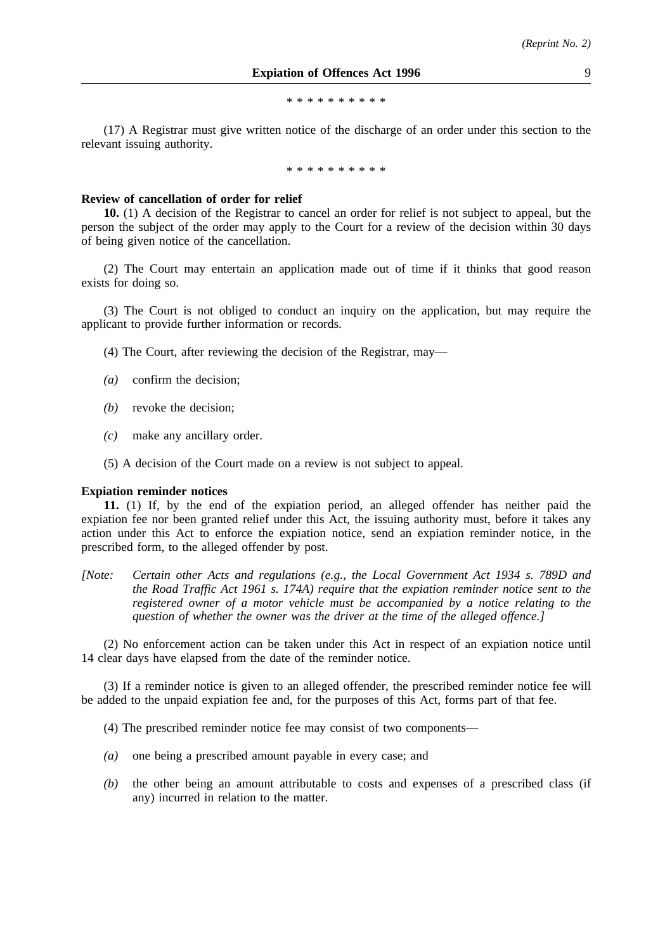\*\*\*\*\*\*\*\*\*\*

(17) A Registrar must give written notice of the discharge of an order under this section to the relevant issuing authority.

\*\*\*\*\*\*\*\*\*\*

#### **Review of cancellation of order for relief**

**10.** (1) A decision of the Registrar to cancel an order for relief is not subject to appeal, but the person the subject of the order may apply to the Court for a review of the decision within 30 days of being given notice of the cancellation.

(2) The Court may entertain an application made out of time if it thinks that good reason exists for doing so.

(3) The Court is not obliged to conduct an inquiry on the application, but may require the applicant to provide further information or records.

- (4) The Court, after reviewing the decision of the Registrar, may—
- *(a)* confirm the decision;
- *(b)* revoke the decision;
- *(c)* make any ancillary order.
- (5) A decision of the Court made on a review is not subject to appeal.

#### **Expiation reminder notices**

**11.** (1) If, by the end of the expiation period, an alleged offender has neither paid the expiation fee nor been granted relief under this Act, the issuing authority must, before it takes any action under this Act to enforce the expiation notice, send an expiation reminder notice, in the prescribed form, to the alleged offender by post.

*[Note: Certain other Acts and regulations (e.g., the Local Government Act 1934 s. 789D and the Road Traffic Act 1961 s. 174A) require that the expiation reminder notice sent to the registered owner of a motor vehicle must be accompanied by a notice relating to the question of whether the owner was the driver at the time of the alleged offence.]*

(2) No enforcement action can be taken under this Act in respect of an expiation notice until 14 clear days have elapsed from the date of the reminder notice.

(3) If a reminder notice is given to an alleged offender, the prescribed reminder notice fee will be added to the unpaid expiation fee and, for the purposes of this Act, forms part of that fee.

(4) The prescribed reminder notice fee may consist of two components—

- *(a)* one being a prescribed amount payable in every case; and
- *(b)* the other being an amount attributable to costs and expenses of a prescribed class (if any) incurred in relation to the matter.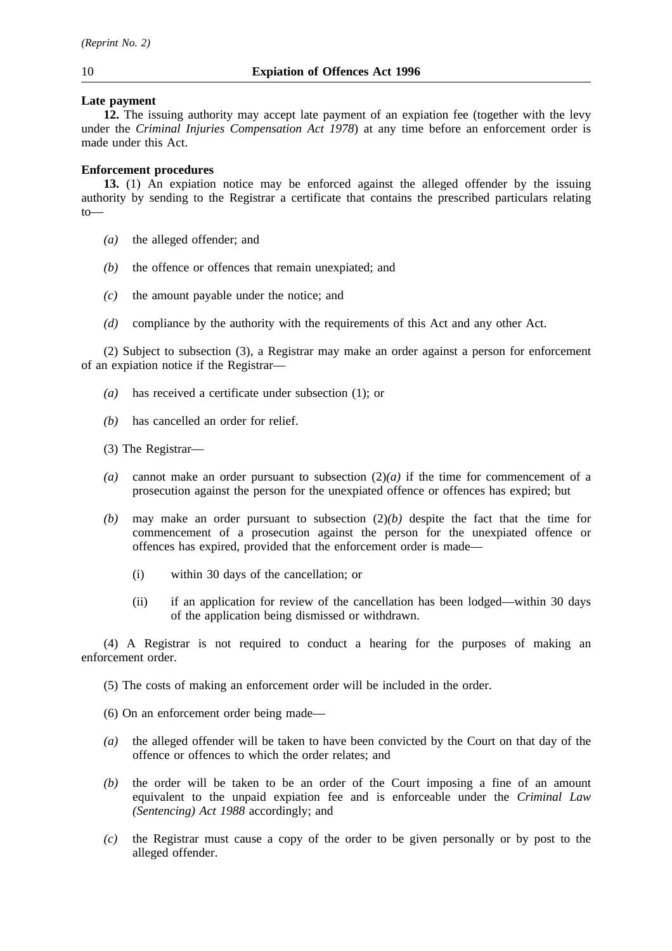## **Late payment**

**12.** The issuing authority may accept late payment of an expiation fee (together with the levy under the *Criminal Injuries Compensation Act 1978*) at any time before an enforcement order is made under this Act.

## **Enforcement procedures**

**13.** (1) An expiation notice may be enforced against the alleged offender by the issuing authority by sending to the Registrar a certificate that contains the prescribed particulars relating  $t_0$ 

- *(a)* the alleged offender; and
- *(b)* the offence or offences that remain unexpiated; and
- *(c)* the amount payable under the notice; and
- *(d)* compliance by the authority with the requirements of this Act and any other Act.

(2) Subject to subsection (3), a Registrar may make an order against a person for enforcement of an expiation notice if the Registrar—

- *(a)* has received a certificate under subsection (1); or
- *(b)* has cancelled an order for relief.

(3) The Registrar—

- *(a)* cannot make an order pursuant to subsection (2)*(a)* if the time for commencement of a prosecution against the person for the unexpiated offence or offences has expired; but
- *(b)* may make an order pursuant to subsection (2)*(b)* despite the fact that the time for commencement of a prosecution against the person for the unexpiated offence or offences has expired, provided that the enforcement order is made—
	- (i) within 30 days of the cancellation; or
	- (ii) if an application for review of the cancellation has been lodged—within 30 days of the application being dismissed or withdrawn.

(4) A Registrar is not required to conduct a hearing for the purposes of making an enforcement order.

(5) The costs of making an enforcement order will be included in the order.

- (6) On an enforcement order being made—
- *(a)* the alleged offender will be taken to have been convicted by the Court on that day of the offence or offences to which the order relates; and
- *(b)* the order will be taken to be an order of the Court imposing a fine of an amount equivalent to the unpaid expiation fee and is enforceable under the *Criminal Law (Sentencing) Act 1988* accordingly; and
- *(c)* the Registrar must cause a copy of the order to be given personally or by post to the alleged offender.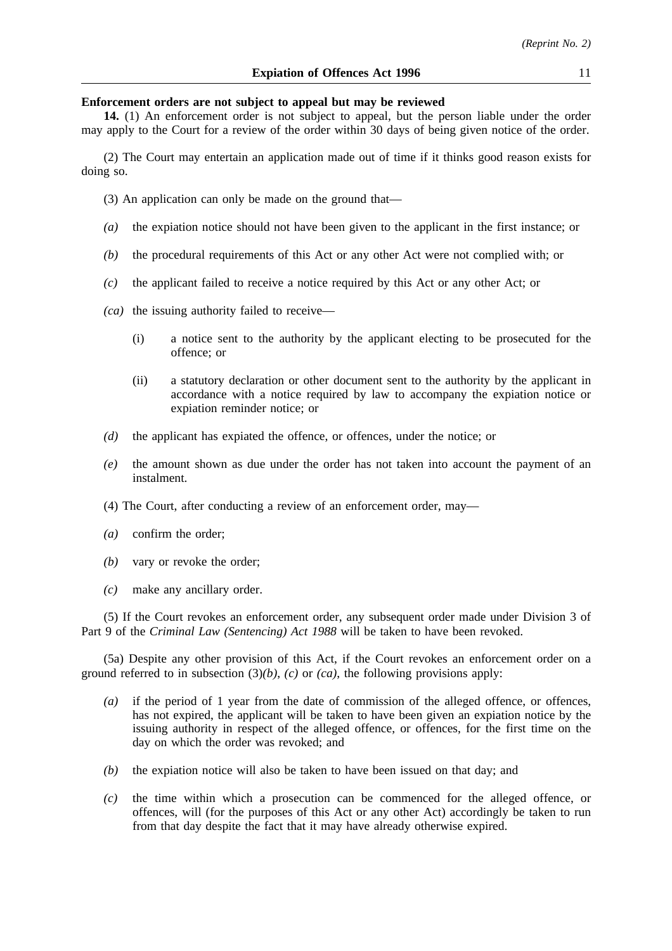#### **Enforcement orders are not subject to appeal but may be reviewed**

**14.** (1) An enforcement order is not subject to appeal, but the person liable under the order may apply to the Court for a review of the order within 30 days of being given notice of the order.

(2) The Court may entertain an application made out of time if it thinks good reason exists for doing so.

(3) An application can only be made on the ground that—

- *(a)* the expiation notice should not have been given to the applicant in the first instance; or
- *(b)* the procedural requirements of this Act or any other Act were not complied with; or
- *(c)* the applicant failed to receive a notice required by this Act or any other Act; or
- *(ca)* the issuing authority failed to receive—
	- (i) a notice sent to the authority by the applicant electing to be prosecuted for the offence; or
	- (ii) a statutory declaration or other document sent to the authority by the applicant in accordance with a notice required by law to accompany the expiation notice or expiation reminder notice; or
- *(d)* the applicant has expiated the offence, or offences, under the notice; or
- *(e)* the amount shown as due under the order has not taken into account the payment of an instalment.
- (4) The Court, after conducting a review of an enforcement order, may—
- *(a)* confirm the order;
- *(b)* vary or revoke the order;
- *(c)* make any ancillary order.

(5) If the Court revokes an enforcement order, any subsequent order made under Division 3 of Part 9 of the *Criminal Law (Sentencing) Act 1988* will be taken to have been revoked.

(5a) Despite any other provision of this Act, if the Court revokes an enforcement order on a ground referred to in subsection (3)*(b)*, *(c)* or *(ca)*, the following provisions apply:

- *(a)* if the period of 1 year from the date of commission of the alleged offence, or offences, has not expired, the applicant will be taken to have been given an expiation notice by the issuing authority in respect of the alleged offence, or offences, for the first time on the day on which the order was revoked; and
- *(b)* the expiation notice will also be taken to have been issued on that day; and
- *(c)* the time within which a prosecution can be commenced for the alleged offence, or offences, will (for the purposes of this Act or any other Act) accordingly be taken to run from that day despite the fact that it may have already otherwise expired.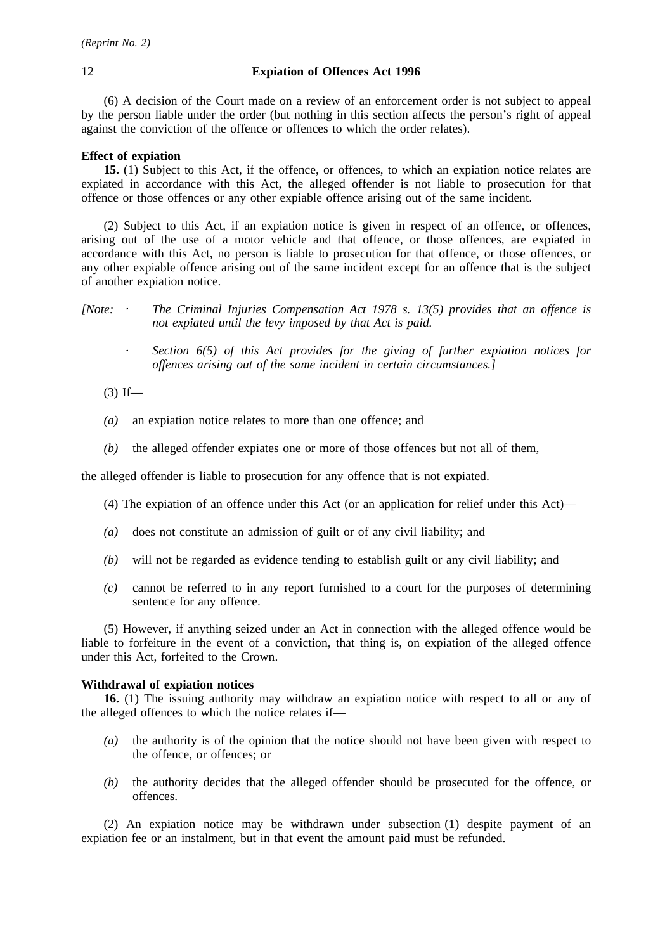(6) A decision of the Court made on a review of an enforcement order is not subject to appeal by the person liable under the order (but nothing in this section affects the person's right of appeal against the conviction of the offence or offences to which the order relates).

## **Effect of expiation**

**15.** (1) Subject to this Act, if the offence, or offences, to which an expiation notice relates are expiated in accordance with this Act, the alleged offender is not liable to prosecution for that offence or those offences or any other expiable offence arising out of the same incident.

(2) Subject to this Act, if an expiation notice is given in respect of an offence, or offences, arising out of the use of a motor vehicle and that offence, or those offences, are expiated in accordance with this Act, no person is liable to prosecution for that offence, or those offences, or any other expiable offence arising out of the same incident except for an offence that is the subject of another expiation notice.

*[Note: The Criminal Injuries Compensation Act 1978 s. 13(5) provides that an offence is not expiated until the levy imposed by that Act is paid.*

*Section 6(5) of this Act provides for the giving of further expiation notices for*  $\epsilon$ *offences arising out of the same incident in certain circumstances.]*

 $(3)$  If—

- *(a)* an expiation notice relates to more than one offence; and
- *(b)* the alleged offender expiates one or more of those offences but not all of them,

the alleged offender is liable to prosecution for any offence that is not expiated.

- (4) The expiation of an offence under this Act (or an application for relief under this Act)—
- *(a)* does not constitute an admission of guilt or of any civil liability; and
- *(b)* will not be regarded as evidence tending to establish guilt or any civil liability; and
- *(c)* cannot be referred to in any report furnished to a court for the purposes of determining sentence for any offence.

(5) However, if anything seized under an Act in connection with the alleged offence would be liable to forfeiture in the event of a conviction, that thing is, on expiation of the alleged offence under this Act, forfeited to the Crown.

#### **Withdrawal of expiation notices**

**16.** (1) The issuing authority may withdraw an expiation notice with respect to all or any of the alleged offences to which the notice relates if—

- *(a)* the authority is of the opinion that the notice should not have been given with respect to the offence, or offences; or
- *(b)* the authority decides that the alleged offender should be prosecuted for the offence, or offences.

(2) An expiation notice may be withdrawn under subsection (1) despite payment of an expiation fee or an instalment, but in that event the amount paid must be refunded.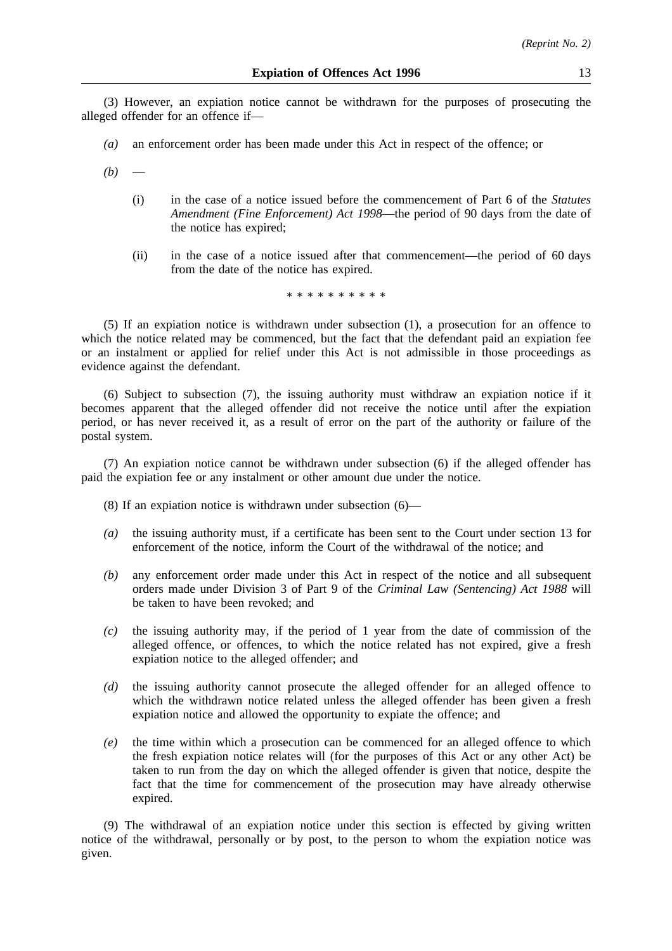(3) However, an expiation notice cannot be withdrawn for the purposes of prosecuting the alleged offender for an offence if—

- *(a)* an enforcement order has been made under this Act in respect of the offence; or
- $(b)$ 
	- (i) in the case of a notice issued before the commencement of Part 6 of the *Statutes Amendment (Fine Enforcement) Act 1998*—the period of 90 days from the date of the notice has expired;
	- (ii) in the case of a notice issued after that commencement—the period of 60 days from the date of the notice has expired.

# \*\*\*\*\*\*\*\*\*\*

(5) If an expiation notice is withdrawn under subsection (1), a prosecution for an offence to which the notice related may be commenced, but the fact that the defendant paid an expiation fee or an instalment or applied for relief under this Act is not admissible in those proceedings as evidence against the defendant.

(6) Subject to subsection (7), the issuing authority must withdraw an expiation notice if it becomes apparent that the alleged offender did not receive the notice until after the expiation period, or has never received it, as a result of error on the part of the authority or failure of the postal system.

(7) An expiation notice cannot be withdrawn under subsection (6) if the alleged offender has paid the expiation fee or any instalment or other amount due under the notice.

- (8) If an expiation notice is withdrawn under subsection (6)—
- *(a)* the issuing authority must, if a certificate has been sent to the Court under section 13 for enforcement of the notice, inform the Court of the withdrawal of the notice; and
- *(b)* any enforcement order made under this Act in respect of the notice and all subsequent orders made under Division 3 of Part 9 of the *Criminal Law (Sentencing) Act 1988* will be taken to have been revoked; and
- *(c)* the issuing authority may, if the period of 1 year from the date of commission of the alleged offence, or offences, to which the notice related has not expired, give a fresh expiation notice to the alleged offender; and
- *(d)* the issuing authority cannot prosecute the alleged offender for an alleged offence to which the withdrawn notice related unless the alleged offender has been given a fresh expiation notice and allowed the opportunity to expiate the offence; and
- *(e)* the time within which a prosecution can be commenced for an alleged offence to which the fresh expiation notice relates will (for the purposes of this Act or any other Act) be taken to run from the day on which the alleged offender is given that notice, despite the fact that the time for commencement of the prosecution may have already otherwise expired.

(9) The withdrawal of an expiation notice under this section is effected by giving written notice of the withdrawal, personally or by post, to the person to whom the expiation notice was given.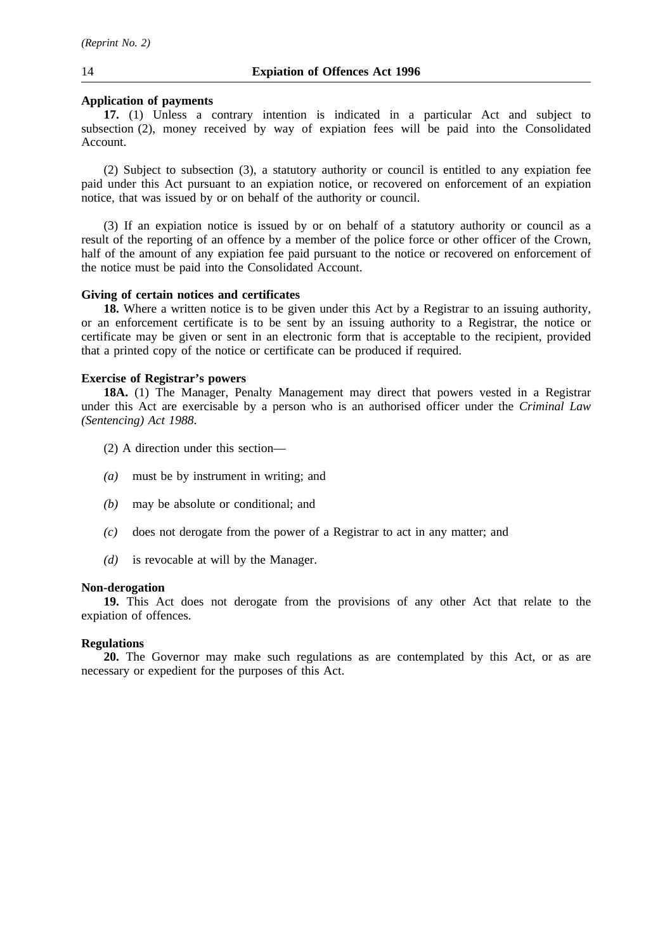#### **Application of payments**

**17.** (1) Unless a contrary intention is indicated in a particular Act and subject to subsection (2), money received by way of expiation fees will be paid into the Consolidated Account.

(2) Subject to subsection (3), a statutory authority or council is entitled to any expiation fee paid under this Act pursuant to an expiation notice, or recovered on enforcement of an expiation notice, that was issued by or on behalf of the authority or council.

(3) If an expiation notice is issued by or on behalf of a statutory authority or council as a result of the reporting of an offence by a member of the police force or other officer of the Crown, half of the amount of any expiation fee paid pursuant to the notice or recovered on enforcement of the notice must be paid into the Consolidated Account.

#### **Giving of certain notices and certificates**

**18.** Where a written notice is to be given under this Act by a Registrar to an issuing authority, or an enforcement certificate is to be sent by an issuing authority to a Registrar, the notice or certificate may be given or sent in an electronic form that is acceptable to the recipient, provided that a printed copy of the notice or certificate can be produced if required.

#### **Exercise of Registrar's powers**

**18A.** (1) The Manager, Penalty Management may direct that powers vested in a Registrar under this Act are exercisable by a person who is an authorised officer under the *Criminal Law (Sentencing) Act 1988*.

- (2) A direction under this section—
- *(a)* must be by instrument in writing; and
- *(b)* may be absolute or conditional; and
- *(c)* does not derogate from the power of a Registrar to act in any matter; and
- *(d)* is revocable at will by the Manager.

#### **Non-derogation**

**19.** This Act does not derogate from the provisions of any other Act that relate to the expiation of offences.

#### **Regulations**

**20.** The Governor may make such regulations as are contemplated by this Act, or as are necessary or expedient for the purposes of this Act.